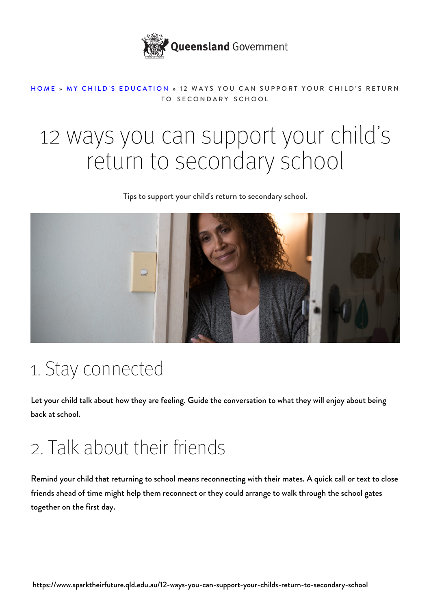

#### [HOME](https://www.sparktheirfuture.qld.edu.au/) » [MY CHILD'S EDUCATION](https://www.sparktheirfuture.qld.edu.au/category/my-childs-school/) » 12 WAYS YOU CAN SUPPORT YOUR CHILD'S RETURN TO SECONDARY SCHOOL

# 12 ways you can support your child's return to secondary school

Tips to support your child's return to secondary school.



### 1. Stay connected

Let your child talk about how they are feeling. Guide the conversation to what they will enjoy about being back at school.

## 2. Talk about their friends

Remind your child that returning to school means reconnecting with their mates. A quick call or text to close friends ahead of time might help them reconnect or they could arrange to walk through the school gates together on the first day.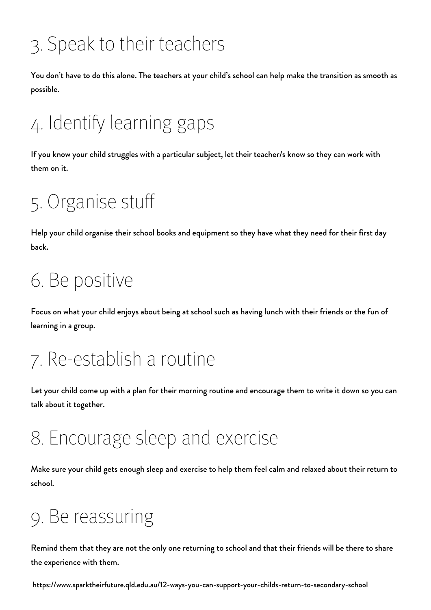## 3. Speak to their teachers

You don't have to do this alone. The teachers at your child's school can help make the transition as smooth as possible.

## 4. Identify learning gaps

If you know your child struggles with a particular subject, let their teacher/s know so they can work with them on it.

## 5. Organise stuff

Help your child organise their school books and equipment so they have what they need for their first day back.

## 6. Be positive

Focus on what your child enjoys about being at school such as having lunch with their friends or the fun of learning in a group.

### 7. Re-establish a routine

Let your child come up with a plan for their morning routine and encourage them to write it down so you can talk about it together.

### 8. Encourage sleep and exercise

Make sure your child gets enough sleep and exercise to help them feel calm and relaxed about their return to school.

## 9. Be reassuring

Remind them that they are not the only one returning to school and that their friends will be there to share the experience with them.

https://www.sparktheirfuture.qld.edu.au/12-ways-you-can-support-your-childs-return-to-secondary-school